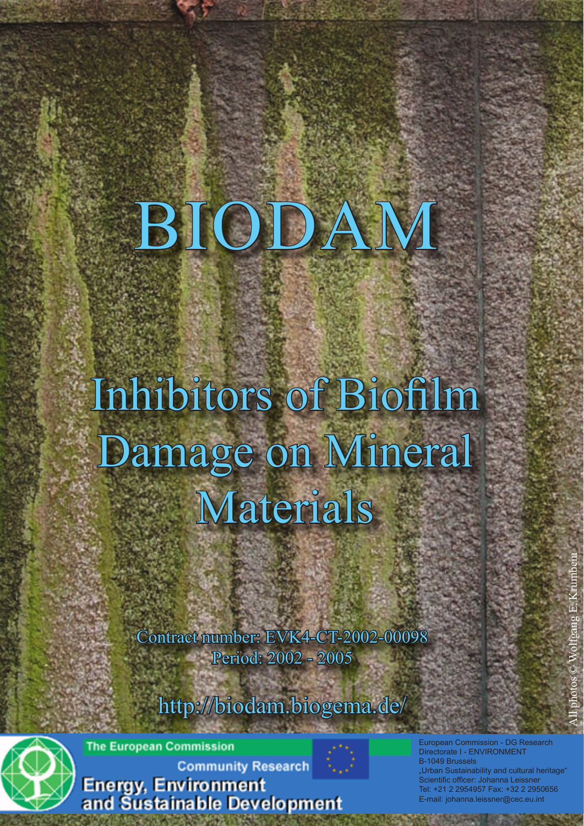# BIODAM

# Inhibitors of Biofilm Damage on Mineral Materials

Contract number: EVK4-CT-2002-00098 Period: 2002 - 2005

http://biodam.biogema.de/



**The European Commission** 

**Community Research** 

**Energy, Environment**<br>and Sustainable Development

n Commission - DG Research Directorate I - ENVIRONMENT B-1049 Brussels Urban Sustainability and cultural heritage<sup>®</sup> .<br>Scientific officer: Johanna Leissner Tel: +21 2 2954957 Fax: +32 2 2950656 E-mail: johanna.leissner@cec.eu.int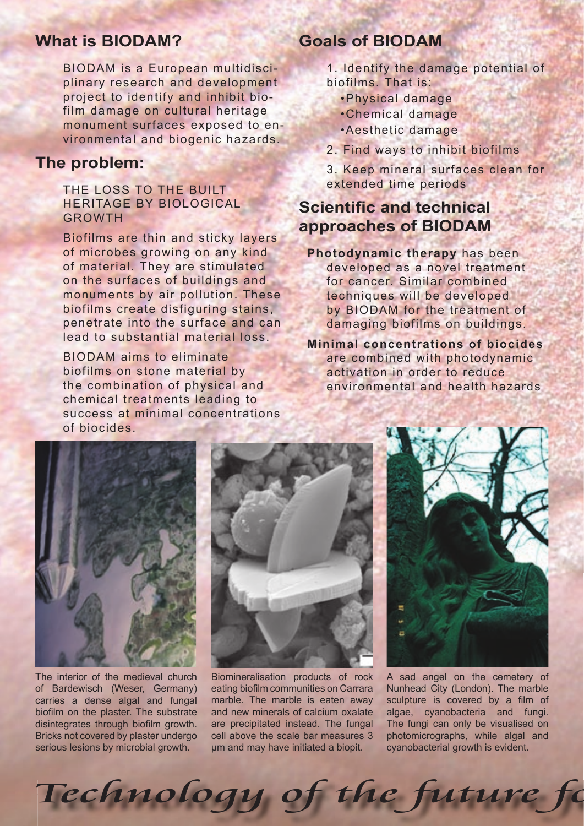## **What is BIODAM?**

BIODAM is a European multidisciplinary research and development project to identify and inhibit biofilm damage on cultural heritage monument surfaces exposed to environmental and biogenic hazards.

#### **The problem:**

#### THE LOSS TO THE BUILT HERITAGE BY BIOLOGICAL GROWTH

Biofilms are thin and sticky layers of microbes growing on any kind of material. They are stimulated on the surfaces of buildings and monuments by air pollution. These biofilms create disfiguring stains, penetrate into the surface and can lead to substantial material loss.

BIODAM aims to eliminate biofilms on stone material by the combination of physical and chemical treatments leading to success at minimal concentrations of biocides.

# **Goals of BIODAM**

- 1. Identify the damage potential of biofilms. That is:
	- •Physical damage
	- •Chemical damage
	- •Aesthetic damage
- 2. Find ways to inhibit biofilms
- 3. Keep mineral surfaces clean for extended time periods

# **Scientific and technical approaches of BIODAM**

**Photodynamic therapy** has been developed as a novel treatment for cancer. Similar combined techniques will be developed by BIODAM for the treatment of damaging biofilms on buildings.

**Minimal concentrations of biocides**  are combined with photodynamic activation in order to reduce environmental and health hazards



The interior of the medieval church of Bardewisch (Weser, Germany) carries a dense algal and fungal biofilm on the plaster. The substrate disintegrates through biofilm growth. Bricks not covered by plaster undergo serious lesions by microbial growth.



Biomineralisation products of rock eating biofilm communities on Carrara marble. The marble is eaten away and new minerals of calcium oxalate are precipitated instead. The fungal cell above the scale bar measures 3 µm and may have initiated a biopit.

Technology of the future fo



A sad angel on the cemetery of Nunhead City (London). The marble sculpture is covered by a film of algae, cyanobacteria and fungi. The fungi can only be visualised on photomicrographs, while algal and cyanobacterial growth is evident.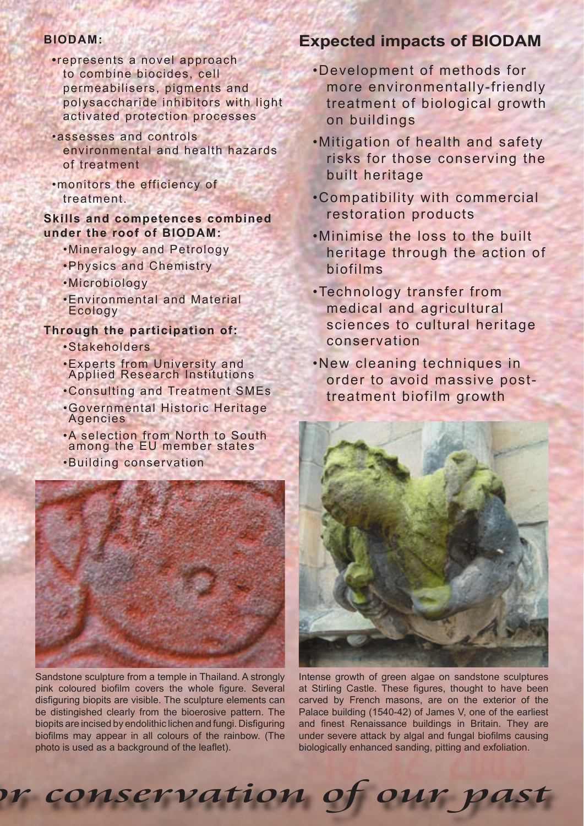#### **BIODAM:**

- **•**represents a novel approach to combine biocides, cell permeabilisers, pigments and polysaccharide inhibitors with light activated protection processes
- •assesses and controls environmental and health hazards of treatment
- •monitors the efficiency of treatment.

#### **Skills and competences combined under the roof of BIODAM:**

- •Mineralogy and Petrology
- •Physics and Chemistry
- •Microbiology
- •Environmental and Material Ecology

#### **Through the participation of:**

- •Stakeholders
- •Experts from University and Applied Research Institutions
- •Consulting and Treatment SMEs
- •Governmental Historic Heritage Agencies
- •A selection from North to South among the EU member states
- •Building conservation



Sandstone sculpture from a temple in Thailand. A strongly pink coloured biofilm covers the whole figure. Several disfiguring biopits are visible. The sculpture elements can be distingished clearly from the bioerosive pattern. The biopits are incised by endolithic lichen and fungi. Disfiguring biofilms may appear in all colours of the rainbow. (The photo is used as a background of the leaflet).

or conservation of our past

## **Expected impacts of BIODAM**

- •Development of methods for more environmentally-friendly treatment of biological growth on buildings
- •Mitigation of health and safety risks for those conserving the built heritage
- •Compatibility with commercial restoration products
- •Minimise the loss to the built heritage through the action of biofilms
- •Technology transfer from medical and agricultural sciences to cultural heritage conservation

•New cleaning techniques in order to avoid massive posttreatment biofilm growth



Intense growth of green algae on sandstone sculptures at Stirling Castle. These figures, thought to have been carved by French masons, are on the exterior of the Palace building (1540-42) of James V, one of the earliest and finest Renaissance buildings in Britain. They are under severe attack by algal and fungal biofilms causing biologically enhanced sanding, pitting and exfoliation.